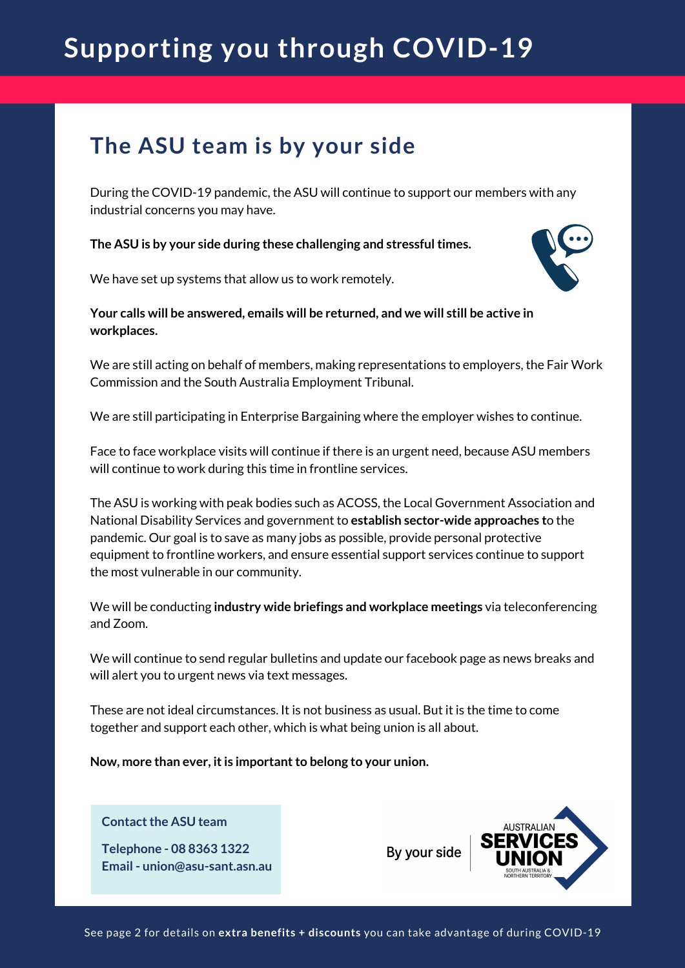# **Supporting you through COVID-19**

## **The ASU team is by your side**

During the COVID-19 pandemic, the ASU will continue to support our members with any industrial concerns you may have.

**The ASU is by your side during these challenging and stressfultimes.**

We have set up systems that allow us to work remotely.



We are still acting on behalf of members, making representations to employers, the Fair Work Commission and the South Australia Employment Tribunal.

We are still participating in Enterprise Bargaining where the employer wishes to continue.

Face to face workplace visits will continue if there is an urgent need, because ASU members will continue to work during this time in frontline services.

The ASU is working with peak bodies such as ACOSS, the Local Government Association and National Disability Services and government to **establish sector-wide approaches t**o the pandemic. Our goal is to save as many jobs as possible, provide personal protective equipment to frontline workers, and ensure essential support services continue to support the most vulnerable in our community.

We will be conducting **industry wide briefings and workplace meetings** via teleconferencing and Zoom.

We will continue to send regular bulletins and update our facebook page as news breaks and will alert you to urgent news via text messages.

These are not ideal circumstances. It is not business as usual. But it is the time to come together and support each other, which is what being union is all about.

**Now, more than ever, itis importantto belong to your union.**

#### **Contact the ASU team**

**Telephone - 08 8363 1322 Email - union@asu-sant.asn.au** By your side